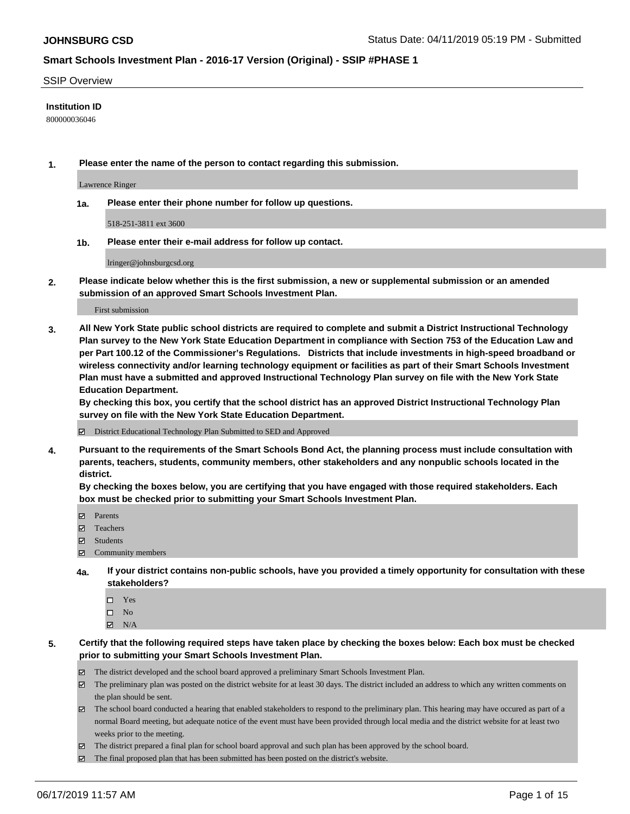#### SSIP Overview

### **Institution ID**

800000036046

**1. Please enter the name of the person to contact regarding this submission.**

Lawrence Ringer

**1a. Please enter their phone number for follow up questions.**

518-251-3811 ext 3600

**1b. Please enter their e-mail address for follow up contact.**

lringer@johnsburgcsd.org

**2. Please indicate below whether this is the first submission, a new or supplemental submission or an amended submission of an approved Smart Schools Investment Plan.**

First submission

**3. All New York State public school districts are required to complete and submit a District Instructional Technology Plan survey to the New York State Education Department in compliance with Section 753 of the Education Law and per Part 100.12 of the Commissioner's Regulations. Districts that include investments in high-speed broadband or wireless connectivity and/or learning technology equipment or facilities as part of their Smart Schools Investment Plan must have a submitted and approved Instructional Technology Plan survey on file with the New York State Education Department.** 

**By checking this box, you certify that the school district has an approved District Instructional Technology Plan survey on file with the New York State Education Department.**

District Educational Technology Plan Submitted to SED and Approved

**4. Pursuant to the requirements of the Smart Schools Bond Act, the planning process must include consultation with parents, teachers, students, community members, other stakeholders and any nonpublic schools located in the district.** 

**By checking the boxes below, you are certifying that you have engaged with those required stakeholders. Each box must be checked prior to submitting your Smart Schools Investment Plan.**

- Parents
- Teachers
- Students
- Community members
- **4a. If your district contains non-public schools, have you provided a timely opportunity for consultation with these stakeholders?**
	- □ Yes
	- $\square$  No
	- $N/A$

**5. Certify that the following required steps have taken place by checking the boxes below: Each box must be checked prior to submitting your Smart Schools Investment Plan.**

- The district developed and the school board approved a preliminary Smart Schools Investment Plan.
- $\boxtimes$  The preliminary plan was posted on the district website for at least 30 days. The district included an address to which any written comments on the plan should be sent.
- $\boxtimes$  The school board conducted a hearing that enabled stakeholders to respond to the preliminary plan. This hearing may have occured as part of a normal Board meeting, but adequate notice of the event must have been provided through local media and the district website for at least two weeks prior to the meeting.
- The district prepared a final plan for school board approval and such plan has been approved by the school board.
- $\boxtimes$  The final proposed plan that has been submitted has been posted on the district's website.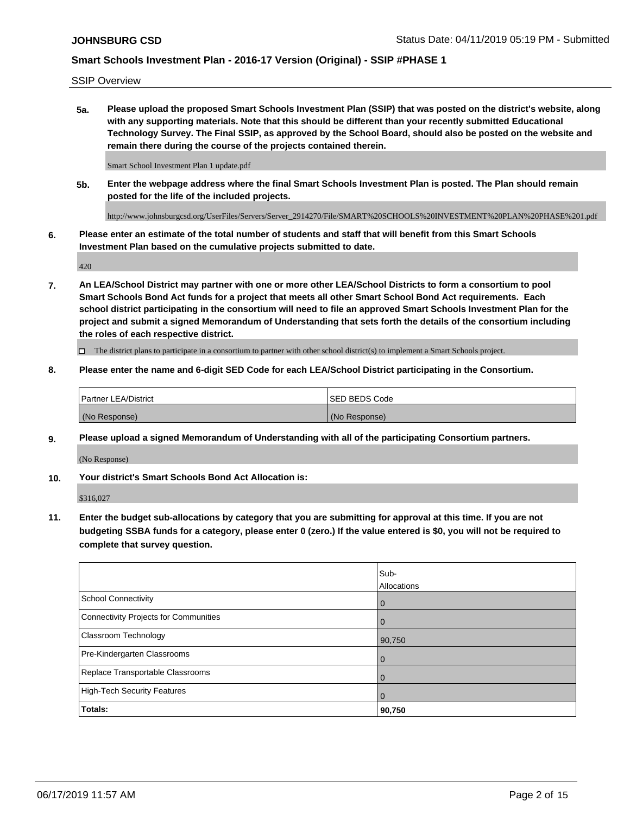SSIP Overview

**5a. Please upload the proposed Smart Schools Investment Plan (SSIP) that was posted on the district's website, along with any supporting materials. Note that this should be different than your recently submitted Educational Technology Survey. The Final SSIP, as approved by the School Board, should also be posted on the website and remain there during the course of the projects contained therein.**

Smart School Investment Plan 1 update.pdf

**5b. Enter the webpage address where the final Smart Schools Investment Plan is posted. The Plan should remain posted for the life of the included projects.**

http://www.johnsburgcsd.org/UserFiles/Servers/Server\_2914270/File/SMART%20SCHOOLS%20INVESTMENT%20PLAN%20PHASE%201.pdf

**6. Please enter an estimate of the total number of students and staff that will benefit from this Smart Schools Investment Plan based on the cumulative projects submitted to date.**

420

**7. An LEA/School District may partner with one or more other LEA/School Districts to form a consortium to pool Smart Schools Bond Act funds for a project that meets all other Smart School Bond Act requirements. Each school district participating in the consortium will need to file an approved Smart Schools Investment Plan for the project and submit a signed Memorandum of Understanding that sets forth the details of the consortium including the roles of each respective district.**

 $\Box$  The district plans to participate in a consortium to partner with other school district(s) to implement a Smart Schools project.

### **8. Please enter the name and 6-digit SED Code for each LEA/School District participating in the Consortium.**

| <b>Partner LEA/District</b> | <b>ISED BEDS Code</b> |
|-----------------------------|-----------------------|
| (No Response)               | (No Response)         |

#### **9. Please upload a signed Memorandum of Understanding with all of the participating Consortium partners.**

(No Response)

**10. Your district's Smart Schools Bond Act Allocation is:**

\$316,027

**11. Enter the budget sub-allocations by category that you are submitting for approval at this time. If you are not budgeting SSBA funds for a category, please enter 0 (zero.) If the value entered is \$0, you will not be required to complete that survey question.**

|                                       | Sub-<br>Allocations |
|---------------------------------------|---------------------|
| School Connectivity                   | $\overline{0}$      |
| Connectivity Projects for Communities | $\Omega$            |
| <b>Classroom Technology</b>           | 90,750              |
| Pre-Kindergarten Classrooms           | $\overline{0}$      |
| Replace Transportable Classrooms      |                     |
| High-Tech Security Features           | $\overline{0}$      |
| Totals:                               | 90,750              |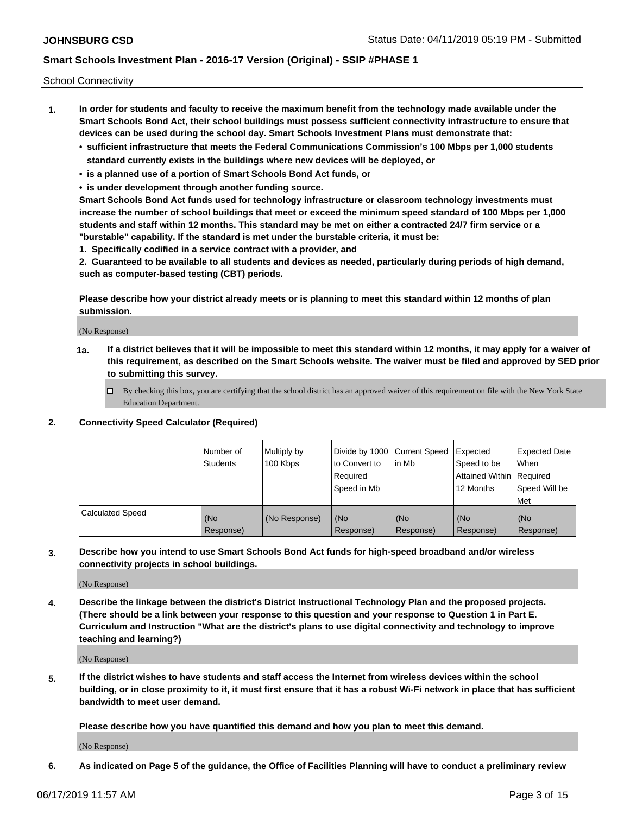School Connectivity

- **1. In order for students and faculty to receive the maximum benefit from the technology made available under the Smart Schools Bond Act, their school buildings must possess sufficient connectivity infrastructure to ensure that devices can be used during the school day. Smart Schools Investment Plans must demonstrate that:**
	- **• sufficient infrastructure that meets the Federal Communications Commission's 100 Mbps per 1,000 students standard currently exists in the buildings where new devices will be deployed, or**
	- **• is a planned use of a portion of Smart Schools Bond Act funds, or**
	- **• is under development through another funding source.**

**Smart Schools Bond Act funds used for technology infrastructure or classroom technology investments must increase the number of school buildings that meet or exceed the minimum speed standard of 100 Mbps per 1,000 students and staff within 12 months. This standard may be met on either a contracted 24/7 firm service or a "burstable" capability. If the standard is met under the burstable criteria, it must be:**

**1. Specifically codified in a service contract with a provider, and**

**2. Guaranteed to be available to all students and devices as needed, particularly during periods of high demand, such as computer-based testing (CBT) periods.**

**Please describe how your district already meets or is planning to meet this standard within 12 months of plan submission.**

(No Response)

**1a. If a district believes that it will be impossible to meet this standard within 12 months, it may apply for a waiver of this requirement, as described on the Smart Schools website. The waiver must be filed and approved by SED prior to submitting this survey.**

 $\Box$  By checking this box, you are certifying that the school district has an approved waiver of this requirement on file with the New York State Education Department.

**2. Connectivity Speed Calculator (Required)**

|                         | l Number of<br><b>Students</b> | Multiply by<br>100 Kbps | Divide by 1000 Current Speed<br>to Convert to<br>Required<br>Speed in Mb | lin Mb           | Expected<br>Speed to be<br>Attained Within   Required<br>12 Months | <b>Expected Date</b><br><b>When</b><br>Speed Will be<br><b>Met</b> |
|-------------------------|--------------------------------|-------------------------|--------------------------------------------------------------------------|------------------|--------------------------------------------------------------------|--------------------------------------------------------------------|
| <b>Calculated Speed</b> | (No<br>Response)               | (No Response)           | (No<br>Response)                                                         | (No<br>Response) | (No<br>Response)                                                   | (No<br>Response)                                                   |

**3. Describe how you intend to use Smart Schools Bond Act funds for high-speed broadband and/or wireless connectivity projects in school buildings.**

(No Response)

**4. Describe the linkage between the district's District Instructional Technology Plan and the proposed projects. (There should be a link between your response to this question and your response to Question 1 in Part E. Curriculum and Instruction "What are the district's plans to use digital connectivity and technology to improve teaching and learning?)**

(No Response)

**5. If the district wishes to have students and staff access the Internet from wireless devices within the school building, or in close proximity to it, it must first ensure that it has a robust Wi-Fi network in place that has sufficient bandwidth to meet user demand.**

**Please describe how you have quantified this demand and how you plan to meet this demand.**

(No Response)

**6. As indicated on Page 5 of the guidance, the Office of Facilities Planning will have to conduct a preliminary review**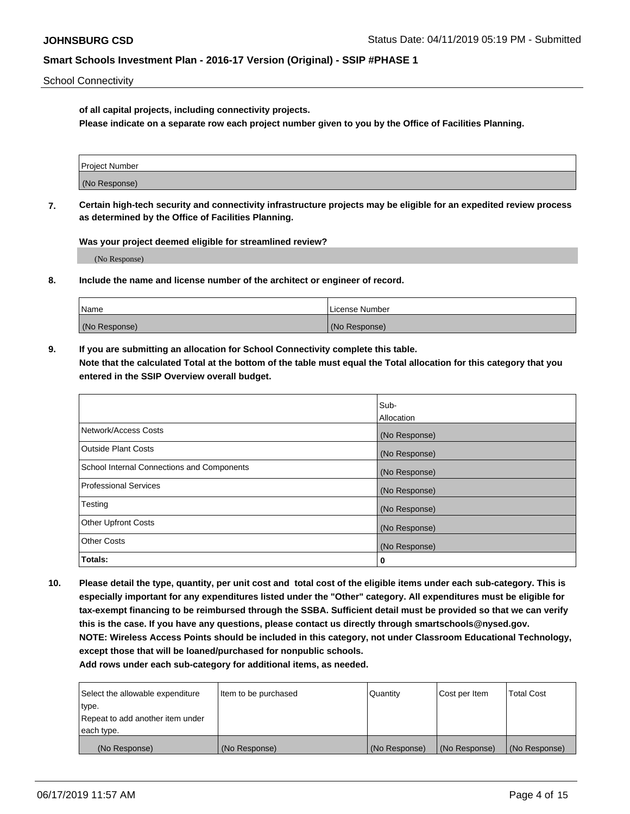School Connectivity

**of all capital projects, including connectivity projects.**

**Please indicate on a separate row each project number given to you by the Office of Facilities Planning.**

| Project Number |  |
|----------------|--|
|                |  |
|                |  |
| (No Response)  |  |
|                |  |

**7. Certain high-tech security and connectivity infrastructure projects may be eligible for an expedited review process as determined by the Office of Facilities Planning.**

**Was your project deemed eligible for streamlined review?**

(No Response)

**8. Include the name and license number of the architect or engineer of record.**

| Name          | License Number |
|---------------|----------------|
| (No Response) | (No Response)  |

**9. If you are submitting an allocation for School Connectivity complete this table. Note that the calculated Total at the bottom of the table must equal the Total allocation for this category that you entered in the SSIP Overview overall budget.** 

|                                            | Sub-              |
|--------------------------------------------|-------------------|
|                                            | <b>Allocation</b> |
| Network/Access Costs                       | (No Response)     |
| <b>Outside Plant Costs</b>                 | (No Response)     |
| School Internal Connections and Components | (No Response)     |
| <b>Professional Services</b>               | (No Response)     |
| Testing                                    | (No Response)     |
| <b>Other Upfront Costs</b>                 | (No Response)     |
| <b>Other Costs</b>                         | (No Response)     |
| Totals:                                    | 0                 |

**10. Please detail the type, quantity, per unit cost and total cost of the eligible items under each sub-category. This is especially important for any expenditures listed under the "Other" category. All expenditures must be eligible for tax-exempt financing to be reimbursed through the SSBA. Sufficient detail must be provided so that we can verify this is the case. If you have any questions, please contact us directly through smartschools@nysed.gov. NOTE: Wireless Access Points should be included in this category, not under Classroom Educational Technology, except those that will be loaned/purchased for nonpublic schools.**

| Select the allowable expenditure | Item to be purchased | Quantity      | Cost per Item | <b>Total Cost</b> |
|----------------------------------|----------------------|---------------|---------------|-------------------|
| type.                            |                      |               |               |                   |
| Repeat to add another item under |                      |               |               |                   |
| each type.                       |                      |               |               |                   |
| (No Response)                    | (No Response)        | (No Response) | (No Response) | (No Response)     |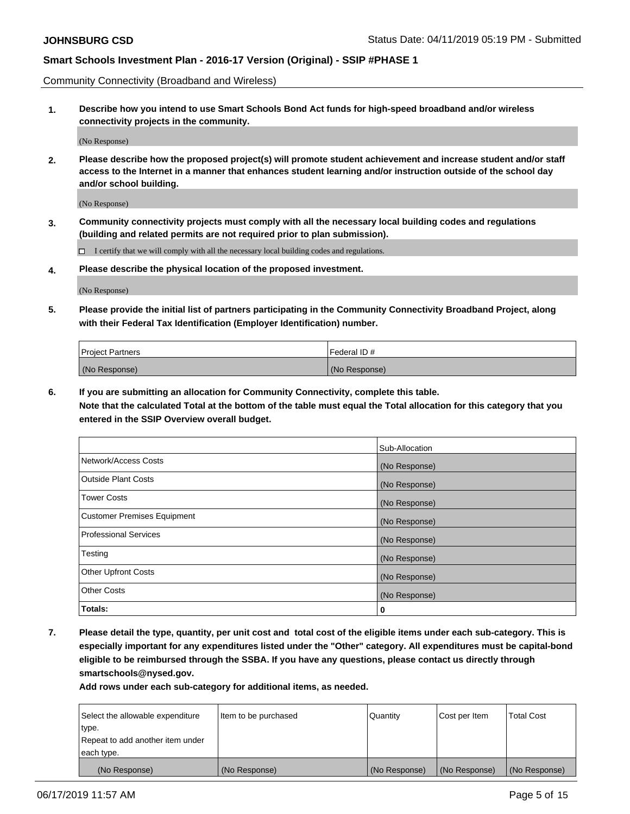Community Connectivity (Broadband and Wireless)

**1. Describe how you intend to use Smart Schools Bond Act funds for high-speed broadband and/or wireless connectivity projects in the community.**

(No Response)

**2. Please describe how the proposed project(s) will promote student achievement and increase student and/or staff access to the Internet in a manner that enhances student learning and/or instruction outside of the school day and/or school building.**

(No Response)

**3. Community connectivity projects must comply with all the necessary local building codes and regulations (building and related permits are not required prior to plan submission).**

 $\Box$  I certify that we will comply with all the necessary local building codes and regulations.

**4. Please describe the physical location of the proposed investment.**

(No Response)

**5. Please provide the initial list of partners participating in the Community Connectivity Broadband Project, along with their Federal Tax Identification (Employer Identification) number.**

| <b>Project Partners</b> | Federal ID#   |
|-------------------------|---------------|
| (No Response)           | (No Response) |

**6. If you are submitting an allocation for Community Connectivity, complete this table.**

**Note that the calculated Total at the bottom of the table must equal the Total allocation for this category that you entered in the SSIP Overview overall budget.**

|                             | Sub-Allocation |
|-----------------------------|----------------|
| Network/Access Costs        | (No Response)  |
| <b>Outside Plant Costs</b>  | (No Response)  |
| <b>Tower Costs</b>          | (No Response)  |
| Customer Premises Equipment | (No Response)  |
| Professional Services       | (No Response)  |
| Testing                     | (No Response)  |
| <b>Other Upfront Costs</b>  | (No Response)  |
| <b>Other Costs</b>          | (No Response)  |
| Totals:                     | 0              |

**7. Please detail the type, quantity, per unit cost and total cost of the eligible items under each sub-category. This is especially important for any expenditures listed under the "Other" category. All expenditures must be capital-bond eligible to be reimbursed through the SSBA. If you have any questions, please contact us directly through smartschools@nysed.gov.**

| Select the allowable expenditure | Item to be purchased | Quantity      | Cost per Item | <b>Total Cost</b> |
|----------------------------------|----------------------|---------------|---------------|-------------------|
| type.                            |                      |               |               |                   |
| Repeat to add another item under |                      |               |               |                   |
| each type.                       |                      |               |               |                   |
| (No Response)                    | (No Response)        | (No Response) | (No Response) | (No Response)     |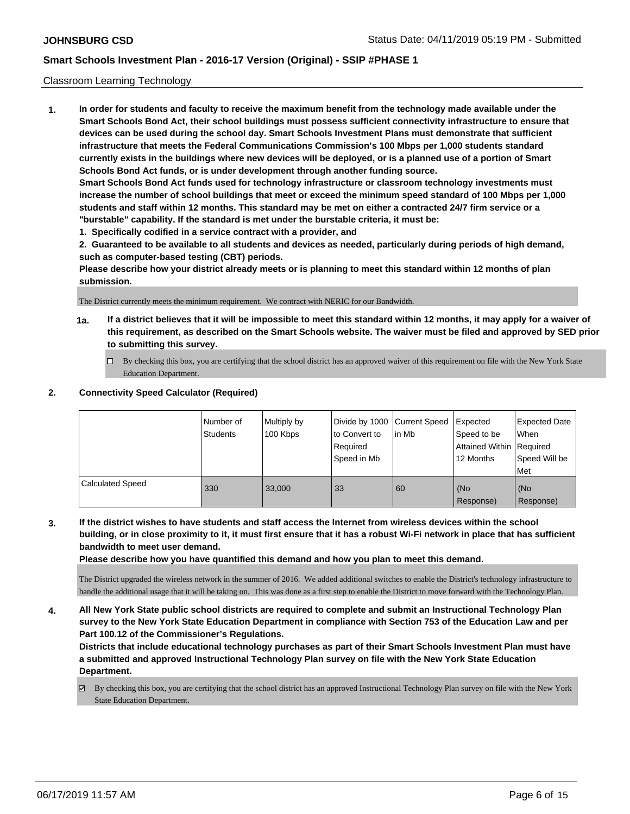### Classroom Learning Technology

**1. In order for students and faculty to receive the maximum benefit from the technology made available under the Smart Schools Bond Act, their school buildings must possess sufficient connectivity infrastructure to ensure that devices can be used during the school day. Smart Schools Investment Plans must demonstrate that sufficient infrastructure that meets the Federal Communications Commission's 100 Mbps per 1,000 students standard currently exists in the buildings where new devices will be deployed, or is a planned use of a portion of Smart Schools Bond Act funds, or is under development through another funding source. Smart Schools Bond Act funds used for technology infrastructure or classroom technology investments must increase the number of school buildings that meet or exceed the minimum speed standard of 100 Mbps per 1,000 students and staff within 12 months. This standard may be met on either a contracted 24/7 firm service or a "burstable" capability. If the standard is met under the burstable criteria, it must be:**

**1. Specifically codified in a service contract with a provider, and**

**2. Guaranteed to be available to all students and devices as needed, particularly during periods of high demand, such as computer-based testing (CBT) periods.**

**Please describe how your district already meets or is planning to meet this standard within 12 months of plan submission.**

The District currently meets the minimum requirement. We contract with NERIC for our Bandwidth.

- **1a. If a district believes that it will be impossible to meet this standard within 12 months, it may apply for a waiver of this requirement, as described on the Smart Schools website. The waiver must be filed and approved by SED prior to submitting this survey.**
	- By checking this box, you are certifying that the school district has an approved waiver of this requirement on file with the New York State Education Department.

#### **2. Connectivity Speed Calculator (Required)**

|                  | Number of<br>Students | Multiply by<br>100 Kbps | to Convert to<br>Required<br>Speed in Mb | Divide by 1000 Current Speed Expected<br>lin Mb | Speed to be<br>Attained Within   Required<br>12 Months | Expected Date<br>When<br>Speed Will be<br>Met |
|------------------|-----------------------|-------------------------|------------------------------------------|-------------------------------------------------|--------------------------------------------------------|-----------------------------------------------|
| Calculated Speed | 330                   | 33,000                  | 33                                       | 60                                              | l (No<br>Response)                                     | (No<br>Response)                              |

**3. If the district wishes to have students and staff access the Internet from wireless devices within the school building, or in close proximity to it, it must first ensure that it has a robust Wi-Fi network in place that has sufficient bandwidth to meet user demand.**

**Please describe how you have quantified this demand and how you plan to meet this demand.**

The District upgraded the wireless network in the summer of 2016. We added additional switches to enable the District's technology infrastructure to handle the additional usage that it will be taking on. This was done as a first step to enable the District to move forward with the Technology Plan.

**4. All New York State public school districts are required to complete and submit an Instructional Technology Plan survey to the New York State Education Department in compliance with Section 753 of the Education Law and per Part 100.12 of the Commissioner's Regulations.**

**Districts that include educational technology purchases as part of their Smart Schools Investment Plan must have a submitted and approved Instructional Technology Plan survey on file with the New York State Education Department.**

By checking this box, you are certifying that the school district has an approved Instructional Technology Plan survey on file with the New York State Education Department.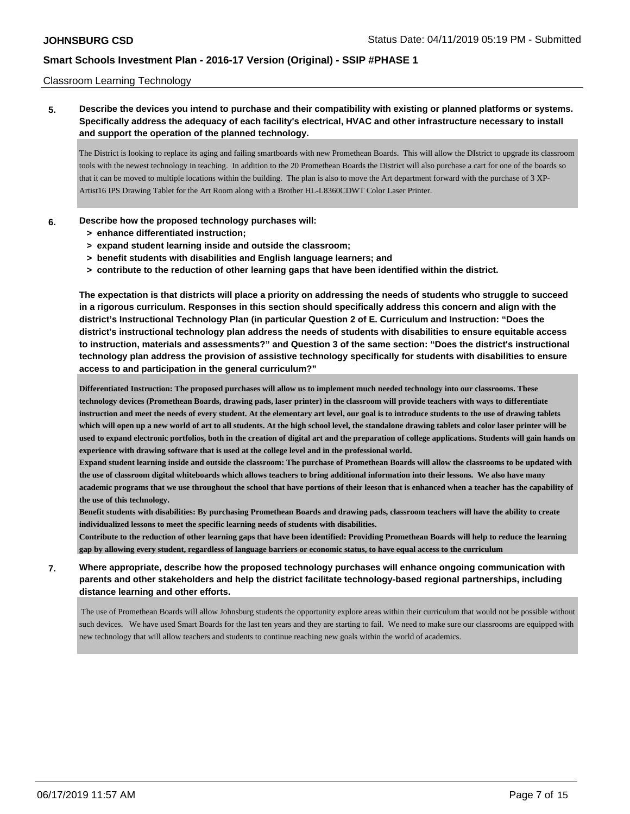### Classroom Learning Technology

**5. Describe the devices you intend to purchase and their compatibility with existing or planned platforms or systems. Specifically address the adequacy of each facility's electrical, HVAC and other infrastructure necessary to install and support the operation of the planned technology.**

The District is looking to replace its aging and failing smartboards with new Promethean Boards. This will allow the DIstrict to upgrade its classroom tools with the newest technology in teaching. In addition to the 20 Promethean Boards the District will also purchase a cart for one of the boards so that it can be moved to multiple locations within the building. The plan is also to move the Art department forward with the purchase of 3 XP-Artist16 IPS Drawing Tablet for the Art Room along with a Brother HL-L8360CDWT Color Laser Printer.

#### **6. Describe how the proposed technology purchases will:**

- **> enhance differentiated instruction;**
- **> expand student learning inside and outside the classroom;**
- **> benefit students with disabilities and English language learners; and**
- **> contribute to the reduction of other learning gaps that have been identified within the district.**

**The expectation is that districts will place a priority on addressing the needs of students who struggle to succeed in a rigorous curriculum. Responses in this section should specifically address this concern and align with the district's Instructional Technology Plan (in particular Question 2 of E. Curriculum and Instruction: "Does the district's instructional technology plan address the needs of students with disabilities to ensure equitable access to instruction, materials and assessments?" and Question 3 of the same section: "Does the district's instructional technology plan address the provision of assistive technology specifically for students with disabilities to ensure access to and participation in the general curriculum?"**

**Differentiated Instruction: The proposed purchases will allow us to implement much needed technology into our classrooms. These technology devices (Promethean Boards, drawing pads, laser printer) in the classroom will provide teachers with ways to differentiate instruction and meet the needs of every student. At the elementary art level, our goal is to introduce students to the use of drawing tablets which will open up a new world of art to all students. At the high school level, the standalone drawing tablets and color laser printer will be used to expand electronic portfolios, both in the creation of digital art and the preparation of college applications. Students will gain hands on experience with drawing software that is used at the college level and in the professional world.**

**Expand student learning inside and outside the classroom: The purchase of Promethean Boards will allow the classrooms to be updated with the use of classroom digital whiteboards which allows teachers to bring additional information into their lessons. We also have many academic programs that we use throughout the school that have portions of their leeson that is enhanced when a teacher has the capability of the use of this technology.** 

**Benefit students with disabilities: By purchasing Promethean Boards and drawing pads, classroom teachers will have the ability to create individualized lessons to meet the specific learning needs of students with disabilities.**

**Contribute to the reduction of other learning gaps that have been identified: Providing Promethean Boards will help to reduce the learning gap by allowing every student, regardless of language barriers or economic status, to have equal access to the curriculum**

## **7. Where appropriate, describe how the proposed technology purchases will enhance ongoing communication with parents and other stakeholders and help the district facilitate technology-based regional partnerships, including distance learning and other efforts.**

 The use of Promethean Boards will allow Johnsburg students the opportunity explore areas within their curriculum that would not be possible without such devices. We have used Smart Boards for the last ten years and they are starting to fail. We need to make sure our classrooms are equipped with new technology that will allow teachers and students to continue reaching new goals within the world of academics.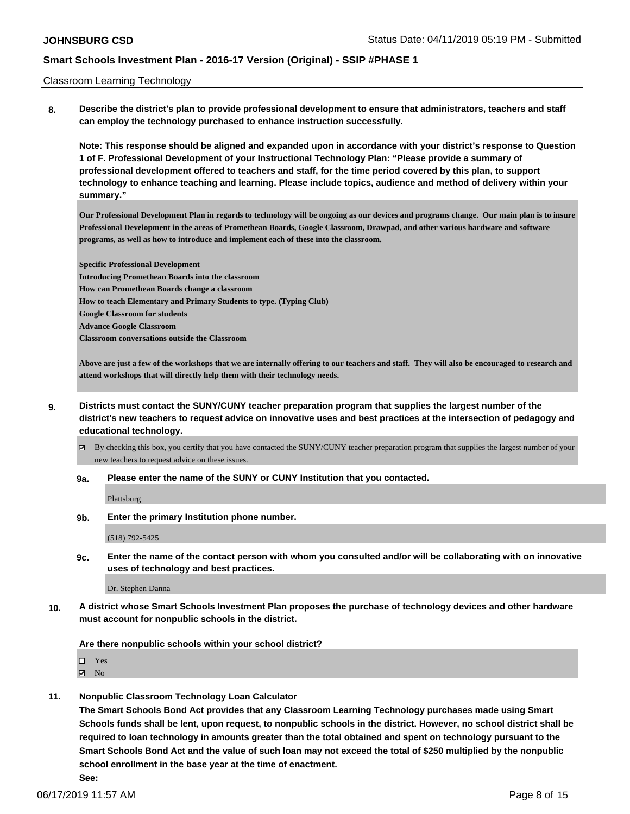#### Classroom Learning Technology

**8. Describe the district's plan to provide professional development to ensure that administrators, teachers and staff can employ the technology purchased to enhance instruction successfully.**

**Note: This response should be aligned and expanded upon in accordance with your district's response to Question 1 of F. Professional Development of your Instructional Technology Plan: "Please provide a summary of professional development offered to teachers and staff, for the time period covered by this plan, to support technology to enhance teaching and learning. Please include topics, audience and method of delivery within your summary."**

**Our Professional Development Plan in regards to technology will be ongoing as our devices and programs change. Our main plan is to insure Professional Development in the areas of Promethean Boards, Google Classroom, Drawpad, and other various hardware and software programs, as well as how to introduce and implement each of these into the classroom.**

**Specific Professional Development Introducing Promethean Boards into the classroom How can Promethean Boards change a classroom How to teach Elementary and Primary Students to type. (Typing Club) Google Classroom for students Advance Google Classroom Classroom conversations outside the Classroom**

**Above are just a few of the workshops that we are internally offering to our teachers and staff. They will also be encouraged to research and attend workshops that will directly help them with their technology needs.** 

**9. Districts must contact the SUNY/CUNY teacher preparation program that supplies the largest number of the district's new teachers to request advice on innovative uses and best practices at the intersection of pedagogy and educational technology.**

By checking this box, you certify that you have contacted the SUNY/CUNY teacher preparation program that supplies the largest number of your new teachers to request advice on these issues.

**9a. Please enter the name of the SUNY or CUNY Institution that you contacted.**

Plattsburg

**9b. Enter the primary Institution phone number.**

(518) 792-5425

**9c. Enter the name of the contact person with whom you consulted and/or will be collaborating with on innovative uses of technology and best practices.**

Dr. Stephen Danna

**10. A district whose Smart Schools Investment Plan proposes the purchase of technology devices and other hardware must account for nonpublic schools in the district.**

**Are there nonpublic schools within your school district?**

□ Yes

 $\boxtimes$  No

**11. Nonpublic Classroom Technology Loan Calculator**

**The Smart Schools Bond Act provides that any Classroom Learning Technology purchases made using Smart Schools funds shall be lent, upon request, to nonpublic schools in the district. However, no school district shall be required to loan technology in amounts greater than the total obtained and spent on technology pursuant to the Smart Schools Bond Act and the value of such loan may not exceed the total of \$250 multiplied by the nonpublic school enrollment in the base year at the time of enactment.**

**See:**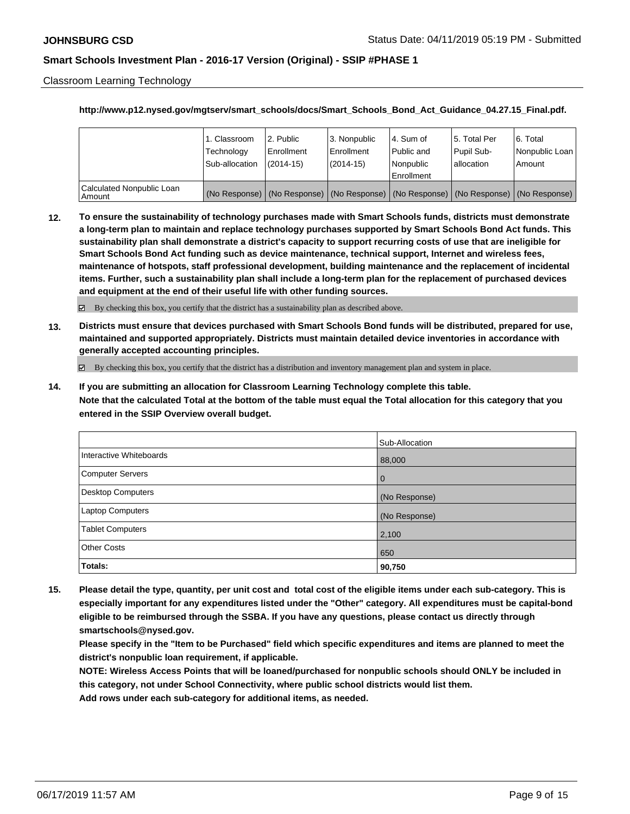Classroom Learning Technology

#### **http://www.p12.nysed.gov/mgtserv/smart\_schools/docs/Smart\_Schools\_Bond\_Act\_Guidance\_04.27.15\_Final.pdf.**

|                                       | 1. Classroom<br>Technology<br>Sub-allocation | 2. Public<br>Enrollment<br>(2014-15) | l 3. Nonpublic<br>l Enrollment<br>$(2014 - 15)$ | I4. Sum of<br>Public and<br>l Nonpublic<br>Enrollment | 15. Total Per<br>Pupil Sub-<br>lallocation                                                    | l 6. Total<br>Nonpublic Loan<br>Amount |
|---------------------------------------|----------------------------------------------|--------------------------------------|-------------------------------------------------|-------------------------------------------------------|-----------------------------------------------------------------------------------------------|----------------------------------------|
| Calculated Nonpublic Loan<br>l Amount |                                              |                                      |                                                 |                                                       | (No Response)   (No Response)   (No Response)   (No Response)   (No Response)   (No Response) |                                        |

**12. To ensure the sustainability of technology purchases made with Smart Schools funds, districts must demonstrate a long-term plan to maintain and replace technology purchases supported by Smart Schools Bond Act funds. This sustainability plan shall demonstrate a district's capacity to support recurring costs of use that are ineligible for Smart Schools Bond Act funding such as device maintenance, technical support, Internet and wireless fees, maintenance of hotspots, staff professional development, building maintenance and the replacement of incidental items. Further, such a sustainability plan shall include a long-term plan for the replacement of purchased devices and equipment at the end of their useful life with other funding sources.**

 $\boxtimes$  By checking this box, you certify that the district has a sustainability plan as described above.

**13. Districts must ensure that devices purchased with Smart Schools Bond funds will be distributed, prepared for use, maintained and supported appropriately. Districts must maintain detailed device inventories in accordance with generally accepted accounting principles.**

By checking this box, you certify that the district has a distribution and inventory management plan and system in place.

**14. If you are submitting an allocation for Classroom Learning Technology complete this table. Note that the calculated Total at the bottom of the table must equal the Total allocation for this category that you entered in the SSIP Overview overall budget.**

|                          | Sub-Allocation |
|--------------------------|----------------|
| Interactive Whiteboards  | 88,000         |
| Computer Servers         | l O            |
| <b>Desktop Computers</b> | (No Response)  |
| Laptop Computers         | (No Response)  |
| <b>Tablet Computers</b>  | 2,100          |
| <b>Other Costs</b>       | 650            |
| Totals:                  | 90,750         |

**15. Please detail the type, quantity, per unit cost and total cost of the eligible items under each sub-category. This is especially important for any expenditures listed under the "Other" category. All expenditures must be capital-bond eligible to be reimbursed through the SSBA. If you have any questions, please contact us directly through smartschools@nysed.gov.**

**Please specify in the "Item to be Purchased" field which specific expenditures and items are planned to meet the district's nonpublic loan requirement, if applicable.**

**NOTE: Wireless Access Points that will be loaned/purchased for nonpublic schools should ONLY be included in this category, not under School Connectivity, where public school districts would list them.**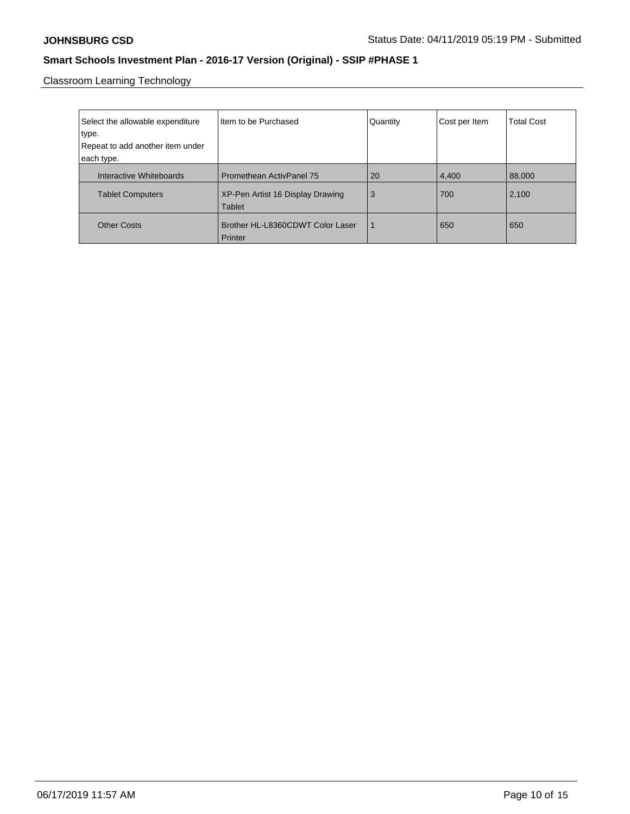Classroom Learning Technology

| Select the allowable expenditure<br>type.<br>Repeat to add another item under<br>each type. | Item to be Purchased                                                | Quantity | Cost per Item | <b>Total Cost</b> |
|---------------------------------------------------------------------------------------------|---------------------------------------------------------------------|----------|---------------|-------------------|
| Interactive Whiteboards<br><b>Tablet Computers</b>                                          | <b>Promethean ActivPanel 75</b><br>XP-Pen Artist 16 Display Drawing | 20<br>3  | 4,400<br>700  | 88,000<br>2,100   |
|                                                                                             | Tablet                                                              |          |               |                   |
| <b>Other Costs</b>                                                                          | Brother HL-L8360CDWT Color Laser<br>Printer                         |          | 650           | 650               |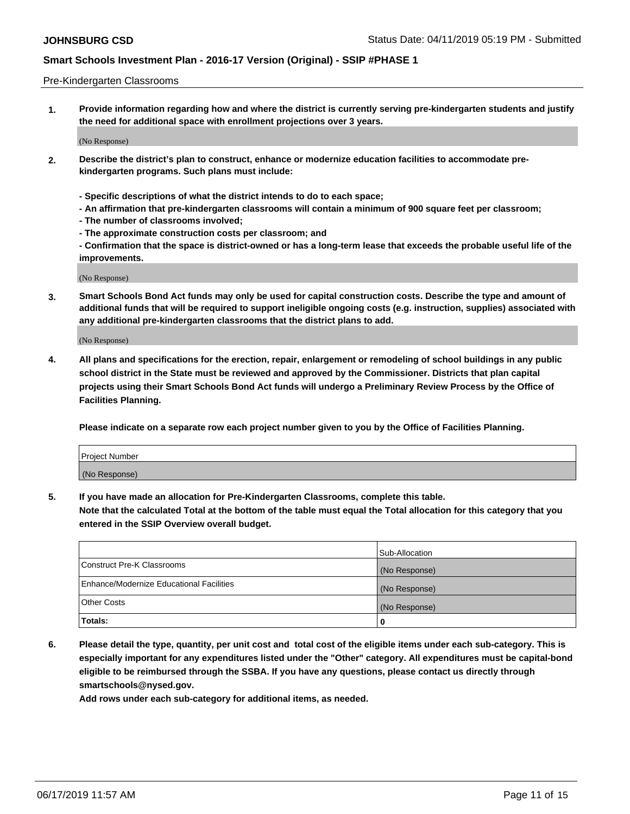#### Pre-Kindergarten Classrooms

**1. Provide information regarding how and where the district is currently serving pre-kindergarten students and justify the need for additional space with enrollment projections over 3 years.**

(No Response)

- **2. Describe the district's plan to construct, enhance or modernize education facilities to accommodate prekindergarten programs. Such plans must include:**
	- **Specific descriptions of what the district intends to do to each space;**
	- **An affirmation that pre-kindergarten classrooms will contain a minimum of 900 square feet per classroom;**
	- **The number of classrooms involved;**
	- **The approximate construction costs per classroom; and**
	- **Confirmation that the space is district-owned or has a long-term lease that exceeds the probable useful life of the improvements.**

(No Response)

**3. Smart Schools Bond Act funds may only be used for capital construction costs. Describe the type and amount of additional funds that will be required to support ineligible ongoing costs (e.g. instruction, supplies) associated with any additional pre-kindergarten classrooms that the district plans to add.**

(No Response)

**4. All plans and specifications for the erection, repair, enlargement or remodeling of school buildings in any public school district in the State must be reviewed and approved by the Commissioner. Districts that plan capital projects using their Smart Schools Bond Act funds will undergo a Preliminary Review Process by the Office of Facilities Planning.**

**Please indicate on a separate row each project number given to you by the Office of Facilities Planning.**

| Project Number |  |
|----------------|--|
| (No Response)  |  |
|                |  |

**5. If you have made an allocation for Pre-Kindergarten Classrooms, complete this table.**

**Note that the calculated Total at the bottom of the table must equal the Total allocation for this category that you entered in the SSIP Overview overall budget.**

|                                          | Sub-Allocation |
|------------------------------------------|----------------|
| Construct Pre-K Classrooms               | (No Response)  |
| Enhance/Modernize Educational Facilities | (No Response)  |
| <b>Other Costs</b>                       | (No Response)  |
| Totals:                                  | 0              |

**6. Please detail the type, quantity, per unit cost and total cost of the eligible items under each sub-category. This is especially important for any expenditures listed under the "Other" category. All expenditures must be capital-bond eligible to be reimbursed through the SSBA. If you have any questions, please contact us directly through smartschools@nysed.gov.**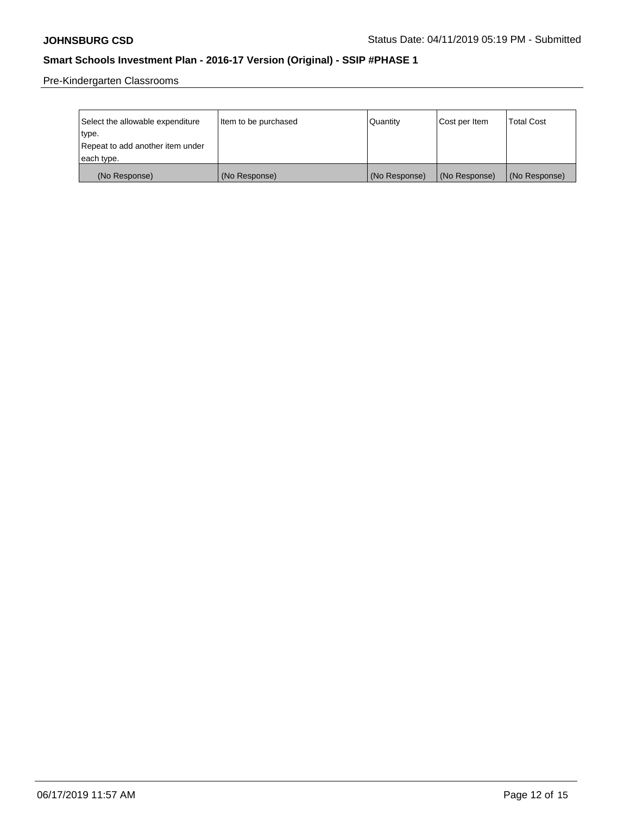Pre-Kindergarten Classrooms

| Select the allowable expenditure | Item to be purchased | Quantity      | Cost per Item | <b>Total Cost</b> |
|----------------------------------|----------------------|---------------|---------------|-------------------|
| type.                            |                      |               |               |                   |
| Repeat to add another item under |                      |               |               |                   |
| each type.                       |                      |               |               |                   |
| (No Response)                    | (No Response)        | (No Response) | (No Response) | (No Response)     |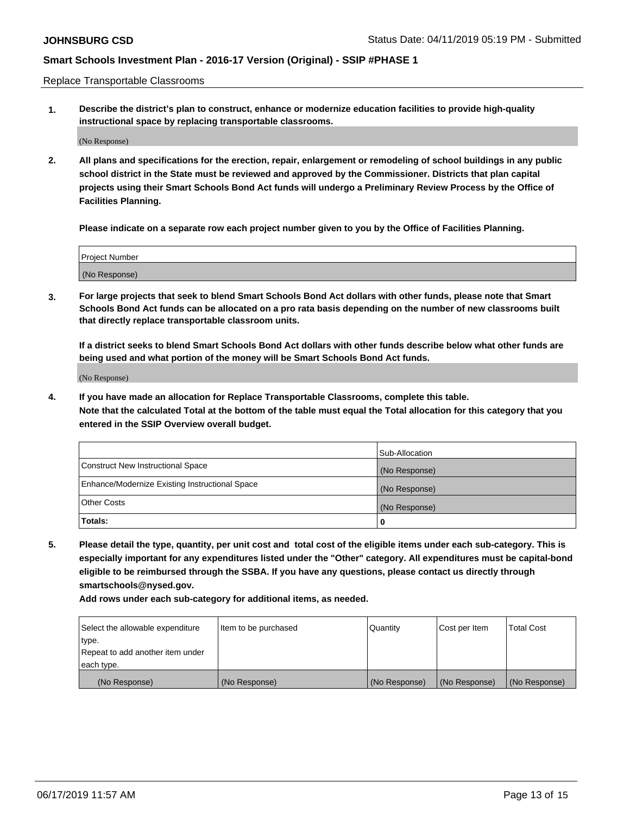Replace Transportable Classrooms

**1. Describe the district's plan to construct, enhance or modernize education facilities to provide high-quality instructional space by replacing transportable classrooms.**

(No Response)

**2. All plans and specifications for the erection, repair, enlargement or remodeling of school buildings in any public school district in the State must be reviewed and approved by the Commissioner. Districts that plan capital projects using their Smart Schools Bond Act funds will undergo a Preliminary Review Process by the Office of Facilities Planning.**

**Please indicate on a separate row each project number given to you by the Office of Facilities Planning.**

| Project Number |  |
|----------------|--|
|                |  |
|                |  |
|                |  |
|                |  |
| (No Response)  |  |
|                |  |
|                |  |
|                |  |

**3. For large projects that seek to blend Smart Schools Bond Act dollars with other funds, please note that Smart Schools Bond Act funds can be allocated on a pro rata basis depending on the number of new classrooms built that directly replace transportable classroom units.**

**If a district seeks to blend Smart Schools Bond Act dollars with other funds describe below what other funds are being used and what portion of the money will be Smart Schools Bond Act funds.**

(No Response)

**4. If you have made an allocation for Replace Transportable Classrooms, complete this table. Note that the calculated Total at the bottom of the table must equal the Total allocation for this category that you entered in the SSIP Overview overall budget.**

|                                                | Sub-Allocation |
|------------------------------------------------|----------------|
| Construct New Instructional Space              | (No Response)  |
| Enhance/Modernize Existing Instructional Space | (No Response)  |
| <b>Other Costs</b>                             | (No Response)  |
| Totals:                                        | 0              |

**5. Please detail the type, quantity, per unit cost and total cost of the eligible items under each sub-category. This is especially important for any expenditures listed under the "Other" category. All expenditures must be capital-bond eligible to be reimbursed through the SSBA. If you have any questions, please contact us directly through smartschools@nysed.gov.**

| Select the allowable expenditure | Item to be purchased | l Quantitv    | Cost per Item | <b>Total Cost</b> |
|----------------------------------|----------------------|---------------|---------------|-------------------|
| type.                            |                      |               |               |                   |
| Repeat to add another item under |                      |               |               |                   |
| each type.                       |                      |               |               |                   |
| (No Response)                    | (No Response)        | (No Response) | (No Response) | (No Response)     |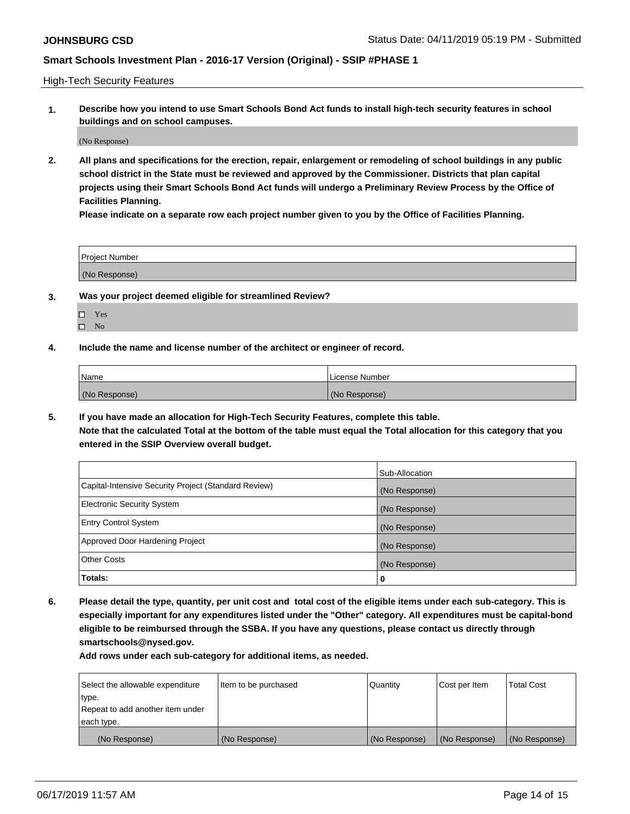High-Tech Security Features

**1. Describe how you intend to use Smart Schools Bond Act funds to install high-tech security features in school buildings and on school campuses.**

(No Response)

**2. All plans and specifications for the erection, repair, enlargement or remodeling of school buildings in any public school district in the State must be reviewed and approved by the Commissioner. Districts that plan capital projects using their Smart Schools Bond Act funds will undergo a Preliminary Review Process by the Office of Facilities Planning.** 

**Please indicate on a separate row each project number given to you by the Office of Facilities Planning.**

| <b>Project Number</b> |  |
|-----------------------|--|
| (No Response)         |  |

- **3. Was your project deemed eligible for streamlined Review?**
	- Yes
	- $\square$  No
- **4. Include the name and license number of the architect or engineer of record.**

| <b>Name</b>   | License Number |
|---------------|----------------|
| (No Response) | (No Response)  |

**5. If you have made an allocation for High-Tech Security Features, complete this table.**

**Note that the calculated Total at the bottom of the table must equal the Total allocation for this category that you entered in the SSIP Overview overall budget.**

|                                                      | Sub-Allocation |
|------------------------------------------------------|----------------|
| Capital-Intensive Security Project (Standard Review) | (No Response)  |
| <b>Electronic Security System</b>                    | (No Response)  |
| <b>Entry Control System</b>                          | (No Response)  |
| Approved Door Hardening Project                      | (No Response)  |
| <b>Other Costs</b>                                   | (No Response)  |
| Totals:                                              | 0              |

**6. Please detail the type, quantity, per unit cost and total cost of the eligible items under each sub-category. This is especially important for any expenditures listed under the "Other" category. All expenditures must be capital-bond eligible to be reimbursed through the SSBA. If you have any questions, please contact us directly through smartschools@nysed.gov.**

| Select the allowable expenditure | Item to be purchased | <b>Quantity</b> | Cost per Item | Total Cost    |
|----------------------------------|----------------------|-----------------|---------------|---------------|
| type.                            |                      |                 |               |               |
| Repeat to add another item under |                      |                 |               |               |
| each type.                       |                      |                 |               |               |
| (No Response)                    | (No Response)        | (No Response)   | (No Response) | (No Response) |